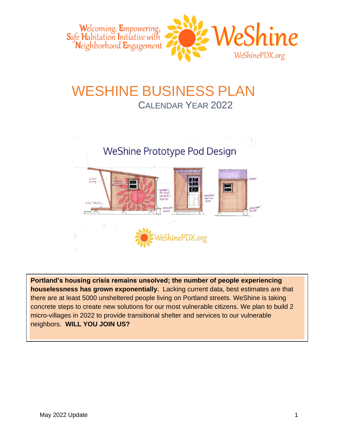

# WESHINE BUSINESS PLAN CALENDAR YEAR 2022

# WeShine Prototype Pod Design MOZ. nsulate<br>Fullscre<br>*Roov*e idat

ShinePDX.org

**Portland's housing crisis remains unsolved; the number of people experiencing houselessness has grown exponentially.** Lacking current data, best estimates are that there are at least 5000 unsheltered people living on Portland streets. WeShine is taking concrete steps to create new solutions for our most vulnerable citizens. We plan to build 2 micro-villages in 2022 to provide transitional shelter and services to our vulnerable neighbors. **WILL YOU JOIN US?**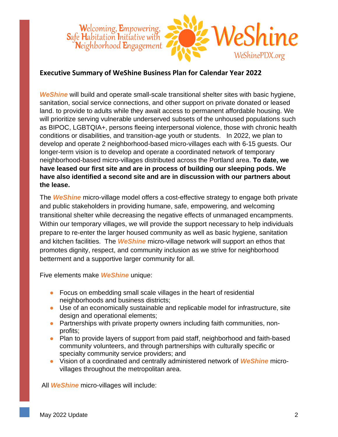

#### **Executive Summary of WeShine Business Plan for Calendar Year 2022**

*WeShine* will build and operate small-scale transitional shelter sites with basic hygiene, sanitation, social service connections, and other support on private donated or leased land. to provide to adults while they await access to permanent affordable housing. We will prioritize serving vulnerable underserved subsets of the unhoused populations such as BIPOC, LGBTQIA+, persons fleeing interpersonal violence, those with chronic health conditions or disabilities, and transition-age youth or students. In 2022, we plan to develop and operate 2 neighborhood-based micro-villages each with 6-15 guests. Our longer-term vision is to develop and operate a coordinated network of temporary neighborhood-based micro-villages distributed across the Portland area. **To date, we have leased our first site and are in process of building our sleeping pods. We have also identified a second site and are in discussion with our partners about the lease.** 

The *WeShine* micro-village model offers a cost-effective strategy to engage both private and public stakeholders in providing humane, safe, empowering, and welcoming transitional shelter while decreasing the negative effects of unmanaged encampments. Within our temporary villages, we will provide the support necessary to help individuals prepare to re-enter the larger housed community as well as basic hygiene, sanitation and kitchen facilities. The *WeShine* micro-village network will support an ethos that promotes dignity, respect, and community inclusion as we strive for neighborhood betterment and a supportive larger community for all.

Five elements make *WeShine* unique:

- Focus on embedding small scale villages in the heart of residential neighborhoods and business districts;
- Use of an economically sustainable and replicable model for infrastructure, site design and operational elements;
- Partnerships with private property owners including faith communities, nonprofits;
- Plan to provide layers of support from paid staff, neighborhood and faith-based community volunteers, and through partnerships with culturally specific or specialty community service providers; and
- Vision of a coordinated and centrally administered network of *WeShine* microvillages throughout the metropolitan area.

All *WeShine* micro-villages will include: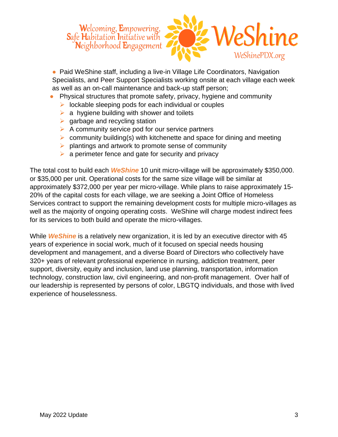

● Paid WeShine staff, including a live-in Village Life Coordinators, Navigation Specialists, and Peer Support Specialists working onsite at each village each week as well as an on-call maintenance and back-up staff person;

- Physical structures that promote safety, privacy, hygiene and community
	- ➢ lockable sleeping pods for each individual or couples
	- $\triangleright$  a hygiene building with shower and toilets
	- $\triangleright$  garbage and recycling station
	- $\triangleright$  A community service pod for our service partners
	- $\triangleright$  community building(s) with kitchenette and space for dining and meeting
	- ➢ plantings and artwork to promote sense of community
	- $\triangleright$  a perimeter fence and gate for security and privacy

The total cost to build each *WeShine* 10 unit micro-village will be approximately \$350,000. or \$35,000 per unit. Operational costs for the same size village will be similar at approximately \$372,000 per year per micro-village. While plans to raise approximately 15- 20% of the capital costs for each village, we are seeking a Joint Office of Homeless Services contract to support the remaining development costs for multiple micro-villages as well as the majority of ongoing operating costs. WeShine will charge modest indirect fees for its services to both build and operate the micro-villages.

While *WeShine* is a relatively new organization, it is led by an executive director with 45 years of experience in social work, much of it focused on special needs housing development and management, and a diverse Board of Directors who collectively have 320+ years of relevant professional experience in nursing, addiction treatment, peer support, diversity, equity and inclusion, land use planning, transportation, information technology, construction law, civil engineering, and non-profit management. Over half of our leadership is represented by persons of color, LBGTQ individuals, and those with lived experience of houselessness.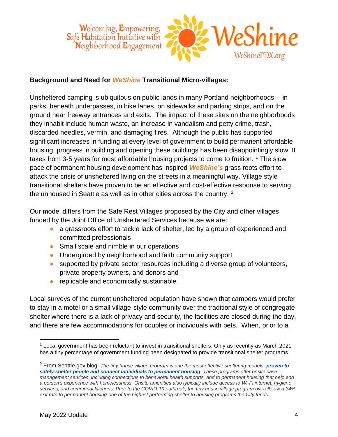

#### **Background and Need for** *WeShine* **Transitional Micro-villages:**

Unsheltered camping is ubiquitous on public lands in many Portland neighborhoods -- in parks, beneath underpasses, in bike lanes, on sidewalks and parking strips, and on the ground near freeway entrances and exits. The impact of these sites on the neighborhoods they inhabit include human waste, an increase in vandalism and petty crime, trash, discarded needles, vermin, and damaging fires. Although the public has supported significant increases in funding at every level of government to build permanent affordable housing, progress in building and opening these buildings has been disappointingly slow. It takes from 3-5 years for most affordable housing projects to come to fruition.  $1$  The slow pace of permanent housing development has inspired *WeShine's* grass roots effort to attack the crisis of unsheltered living on the streets in a meaningful way. Village style transitional shelters have proven to be an effective and cost-effective response to serving the unhoused in Seattle as well as in other cities across the country. <sup>2</sup>

Our model differs from the Safe Rest Villages proposed by the City and other villages funded by the Joint Office of Unsheltered Services because we are:

- a grassroots effort to tackle lack of shelter, led by a group of experienced and committed professionals
- Small scale and nimble in our operations
- Undergirded by neighborhood and faith community support
- supported by private sector resources including a diverse group of volunteers, private property owners, and donors and
- replicable and economically sustainable.

Local surveys of the current unsheltered population have shown that campers would prefer to stay in a motel or a small village-style community over the traditional style of congregate shelter where there is a lack of privacy and security, the facilities are closed during the day, and there are few accommodations for couples or individuals with pets. When, prior to a

 $1$  Local government has been reluctant to invest in transitional shelters. Only as recently as March 2021 has a tiny percentage of government funding been designated to provide transitional shelter programs.

<sup>2</sup> From Seattle.gov blog: *The tiny house village program is one the most effective sheltering models, [proven to](https://homelessness.seattle.gov/human-services-department-releases-performance-data-for-first-six-months-of-2019/)  [safely shelter people and connect individuals to permanent housing](https://homelessness.seattle.gov/human-services-department-releases-performance-data-for-first-six-months-of-2019/). These programs offer onsite case management services, including connections to behavioral health supports, and to permanent housing that help end a person's experience with homelessness. Onsite amenities also typically include access to Wi-Fi internet, hygiene services, and communal kitchens. Prior to the COVID-19 outbreak, the tiny house village program overall saw a 34% exit rate to permanent housing-one of the highest performing shelter to housing programs the City funds.*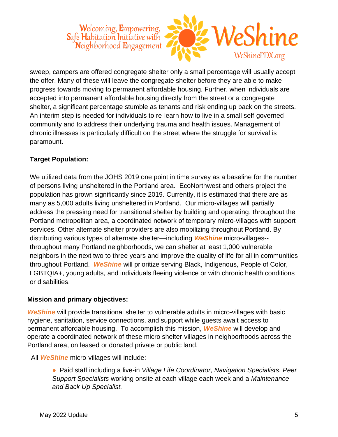## Welcoming, Empowering, eShine Safe Habitation Initiative with Neighborhood **E**ngagement WeShinePDX.org

sweep, campers are offered congregate shelter only a small percentage will usually accept the offer. Many of these will leave the congregate shelter before they are able to make progress towards moving to permanent affordable housing. Further, when individuals are accepted into permanent affordable housing directly from the street or a congregate shelter, a significant percentage stumble as tenants and risk ending up back on the streets. An interim step is needed for individuals to re-learn how to live in a small self-governed community and to address their underlying trauma and health issues. Management of chronic illnesses is particularly difficult on the street where the struggle for survival is paramount.

#### **Target Population:**

We utilized data from the JOHS 2019 one point in time survey as a baseline for the number of persons living unsheltered in the Portland area. EcoNorthwest and others project the population has grown significantly since 2019. Currently, it is estimated that there are as many as 5,000 adults living unsheltered in Portland. Our micro-villages will partially address the pressing need for transitional shelter by building and operating, throughout the Portland metropolitan area, a coordinated network of temporary micro-villages with support services. Other alternate shelter providers are also mobilizing throughout Portland. By distributing various types of alternate shelter—including *WeShine* micro-villages- throughout many Portland neighborhoods, we can shelter at least 1,000 vulnerable neighbors in the next two to three years and improve the quality of life for all in communities throughout Portland. *WeShine* will prioritize serving Black, Indigenous, People of Color, LGBTQIA+, young adults, and individuals fleeing violence or with chronic health conditions or disabilities.

#### **Mission and primary objectives:**

*WeShine* will provide transitional shelter to vulnerable adults in micro-villages with basic hygiene, sanitation, service connections, and support while guests await access to permanent affordable housing. To accomplish this mission, *WeShine* will develop and operate a coordinated network of these micro shelter-villages in neighborhoods across the Portland area, on leased or donated private or public land.

All *WeShine* micro-villages will include:

● Paid staff including a live-in *Village Life Coordinator*, *Navigation Specialists*, *Peer Support Specialists* working onsite at each village each week and a *Maintenance and Back Up Specialist.*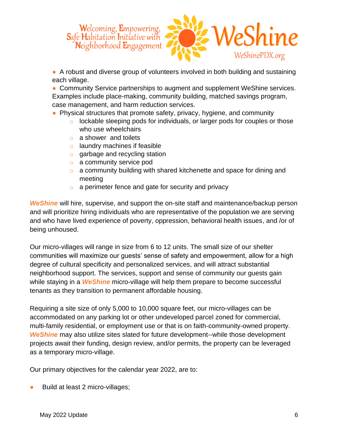

● A robust and diverse group of volunteers involved in both building and sustaining each village.

• Community Service partnerships to augment and supplement WeShine services. Examples include place-making, community building, matched savings program, case management, and harm reduction services.

- Physical structures that promote safety, privacy, hygiene, and community
	- o lockable sleeping pods for individuals, or larger pods for couples or those who use wheelchairs
	- o a shower and toilets
	- $\circ$  laundry machines if feasible
	- o garbage and recycling station
	- o a community service pod
	- o a community building with shared kitchenette and space for dining and meeting
	- o a perimeter fence and gate for security and privacy

*WeShine* will hire, supervise, and support the on-site staff and maintenance/backup person and will prioritize hiring individuals who are representative of the population we are serving and who have lived experience of poverty, oppression, behavioral health issues, and /or of being unhoused.

Our micro-villages will range in size from 6 to 12 units. The small size of our shelter communities will maximize our guests' sense of safety and empowerment, allow for a high degree of cultural specificity and personalized services, and will attract substantial neighborhood support. The services, support and sense of community our guests gain while staying in a *WeShine* micro-village will help them prepare to become successful tenants as they transition to permanent affordable housing.

Requiring a site size of only 5,000 to 10,000 square feet, our micro-villages can be accommodated on any parking lot or other undeveloped parcel zoned for commercial, multi-family residential, or employment use or that is on faith-community-owned property. *WeShine* may also utilize sites slated for future development--while those development projects await their funding, design review, and/or permits, the property can be leveraged as a temporary micro-village.

Our primary objectives for the calendar year 2022, are to:

Build at least 2 micro-villages;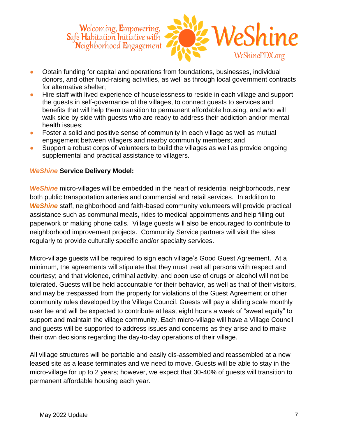

- Obtain funding for capital and operations from foundations, businesses, individual donors, and other fund-raising activities, as well as through local government contracts for alternative shelter;
- Hire staff with lived experience of houselessness to reside in each village and support the guests in self-governance of the villages, to connect guests to services and benefits that will help them transition to permanent affordable housing, and who will walk side by side with guests who are ready to address their addiction and/or mental health issues;
- Foster a solid and positive sense of community in each village as well as mutual engagement between villagers and nearby community members; and
- Support a robust corps of volunteers to build the villages as well as provide ongoing supplemental and practical assistance to villagers.

#### *WeShine* **Service Delivery Model:**

*WeShine* micro-villages will be embedded in the heart of residential neighborhoods, near both public transportation arteries and commercial and retail services. In addition to *WeShine* staff, neighborhood and faith-based community volunteers will provide practical assistance such as communal meals, rides to medical appointments and help filling out paperwork or making phone calls. Village guests will also be encouraged to contribute to neighborhood improvement projects. Community Service partners will visit the sites regularly to provide culturally specific and/or specialty services.

Micro-village guests will be required to sign each village's Good Guest Agreement. At a minimum, the agreements will stipulate that they must treat all persons with respect and courtesy; and that violence, criminal activity, and open use of drugs or alcohol will not be tolerated. Guests will be held accountable for their behavior, as well as that of their visitors, and may be trespassed from the property for violations of the Guest Agreement or other community rules developed by the Village Council. Guests will pay a sliding scale monthly user fee and will be expected to contribute at least eight hours a week of "sweat equity" to support and maintain the village community. Each micro-village will have a Village Council and guests will be supported to address issues and concerns as they arise and to make their own decisions regarding the day-to-day operations of their village.

All village structures will be portable and easily dis-assembled and reassembled at a new leased site as a lease terminates and we need to move. Guests will be able to stay in the micro-village for up to 2 years; however, we expect that 30-40% of guests will transition to permanent affordable housing each year.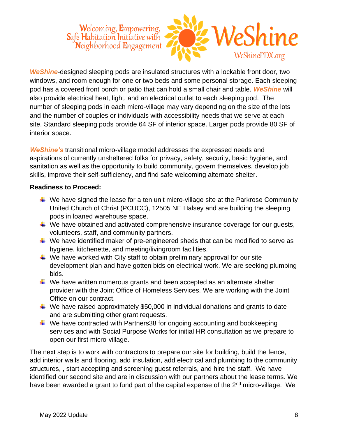

*WeShine*-designed sleeping pods are insulated structures with a lockable front door, two windows, and room enough for one or two beds and some personal storage. Each sleeping pod has a covered front porch or patio that can hold a small chair and table. *WeShine* will also provide electrical heat, light, and an electrical outlet to each sleeping pod. The number of sleeping pods in each micro-village may vary depending on the size of the lots and the number of couples or individuals with accessibility needs that we serve at each site. Standard sleeping pods provide 64 SF of interior space. Larger pods provide 80 SF of interior space.

*WeShine's* transitional micro-village model addresses the expressed needs and aspirations of currently unsheltered folks for privacy, safety, security, basic hygiene, and sanitation as well as the opportunity to build community, govern themselves, develop job skills, improve their self-sufficiency, and find safe welcoming alternate shelter.

#### **Readiness to Proceed:**

- $\ddot{+}$  We have signed the lease for a ten unit micro-village site at the Parkrose Community United Church of Christ (PCUCC), 12505 NE Halsey and are building the sleeping pods in loaned warehouse space.
- $\ddot{+}$  We have obtained and activated comprehensive insurance coverage for our quests, volunteers, staff, and community partners.
- $\ddot{+}$  We have identified maker of pre-engineered sheds that can be modified to serve as hygiene, kitchenette, and meeting/livingroom facilities.
- $\ddotplus$  We have worked with City staff to obtain preliminary approval for our site development plan and have gotten bids on electrical work. We are seeking plumbing bids.
- $\ddotplus$  We have written numerous grants and been accepted as an alternate shelter provider with the Joint Office of Homeless Services. We are working with the Joint Office on our contract.
- $\ddotplus$  We have raised approximately \$50,000 in individual donations and grants to date and are submitting other grant requests.
- $\ddot{+}$  We have contracted with Partners 38 for ongoing accounting and bookkeeping services and with Social Purpose Works for initial HR consultation as we prepare to open our first micro-village.

The next step is to work with contractors to prepare our site for building, build the fence, add interior walls and flooring, add insulation, add electrical and plumbing to the community structures, , start accepting and screening guest referrals, and hire the staff. We have identified our second site and are in discussion with our partners about the lease terms. We have been awarded a grant to fund part of the capital expense of the 2<sup>nd</sup> micro-village. We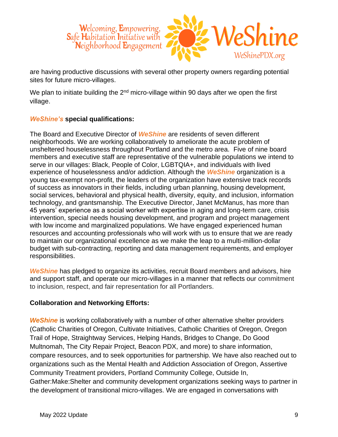

are having productive discussions with several other property owners regarding potential sites for future micro-villages.

We plan to initiate building the  $2<sup>nd</sup>$  micro-village within 90 days after we open the first village.

#### *WeShine's* **special qualifications:**

The Board and Executive Director of *WeShine* are residents of seven different neighborhoods. We are working collaboratively to ameliorate the acute problem of unsheltered houselessness throughout Portland and the metro area. Five of nine board members and executive staff are representative of the vulnerable populations we intend to serve in our villages: Black, People of Color, LGBTQIA+, and individuals with lived experience of houselessness and/or addiction. Although the *WeShine* organization is a young tax-exempt non-profit, the leaders of the organization have extensive track records of success as innovators in their fields, including urban planning, housing development, social services, behavioral and physical health, diversity, equity, and inclusion, information technology, and grantsmanship. The Executive Director, Janet McManus, has more than 45 years' experience as a social worker with expertise in aging and long-term care, crisis intervention, special needs housing development, and program and project management with low income and marginalized populations. We have engaged experienced human resources and accounting professionals who will work with us to ensure that we are ready to maintain our organizational excellence as we make the leap to a multi-million-dollar budget with sub-contracting, reporting and data management requirements, and employer responsibilities.

**WeShine** has pledged to organize its activities, recruit Board members and advisors, hire and support staff, and operate our micro-villages in a manner that reflects our commitment to inclusion, respect, and fair representation for all Portlanders.

#### **Collaboration and Networking Efforts:**

**WeShine** is working collaboratively with a number of other alternative shelter providers (Catholic Charities of Oregon, Cultivate Initiatives, Catholic Charities of Oregon, Oregon Trail of Hope, Straightway Services, Helping Hands, Bridges to Change, Do Good Multnomah, The City Repair Project, Beacon PDX, and more) to share information, compare resources, and to seek opportunities for partnership. We have also reached out to organizations such as the Mental Health and Addiction Association of Oregon, Assertive Community Treatment providers, Portland Community College, Outside In, Gather:Make:Shelter and community development organizations seeking ways to partner in the development of transitional micro-villages. We are engaged in conversations with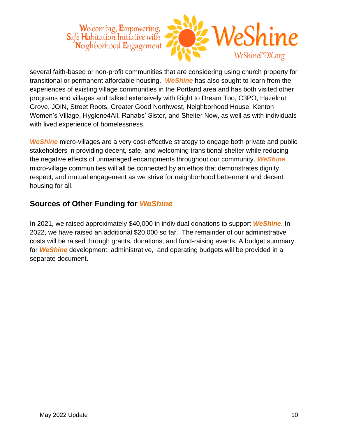## **Welcoming, Empowering, S**afe **H**abitation **I**nitiative with Neighborhood **E**ngagement WeShinePDX.org

several faith-based or non-profit communities that are considering using church property for transitional or permanent affordable housing. *WeShine* has also sought to learn from the experiences of existing village communities in the Portland area and has both visited other programs and villages and talked extensively with Right to Dream Too, C3PO, Hazelnut Grove, JOIN, Street Roots, Greater Good Northwest, Neighborhood House, Kenton Women's Village, Hygiene4All, Rahabs' Sister, and Shelter Now, as well as with individuals with lived experience of homelessness.

**WeShine** micro-villages are a very cost-effective strategy to engage both private and public stakeholders in providing decent, safe, and welcoming transitional shelter while reducing the negative effects of unmanaged encampments throughout our community. *WeShine* micro-village communities will all be connected by an ethos that demonstrates dignity, respect, and mutual engagement as we strive for neighborhood betterment and decent housing for all.

### **Sources of Other Funding for** *WeShine*

In 2021, we raised approximately \$40,000 in individual donations to support *WeShine*. In 2022, we have raised an additional \$20,000 so far. The remainder of our administrative costs will be raised through grants, donations, and fund-raising events. A budget summary for *WeShine* development, administrative, and operating budgets will be provided in a separate document.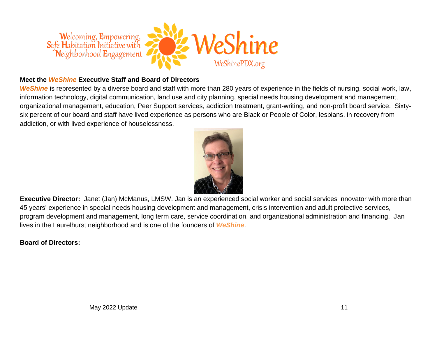

#### **Meet the** *WeShine* **Executive Staff and Board of Directors**

*WeShine* is represented by a diverse board and staff with more than 280 years of experience in the fields of nursing, social work, law, information technology, digital communication, land use and city planning, special needs housing development and management, organizational management, education, Peer Support services, addiction treatment, grant-writing, and non-profit board service. Sixtysix percent of our board and staff have lived experience as persons who are Black or People of Color, lesbians, in recovery from addiction, or with lived experience of houselessness.



**Executive Director:** Janet (Jan) McManus, LMSW. Jan is an experienced social worker and social services innovator with more than 45 years' experience in special needs housing development and management, crisis intervention and adult protective services, program development and management, long term care, service coordination, and organizational administration and financing. Jan lives in the Laurelhurst neighborhood and is one of the founders of *WeShine*.

#### **Board of Directors:**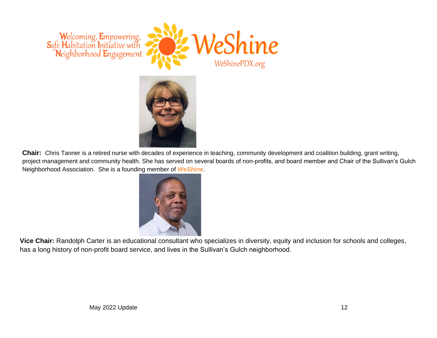



**Chair:** Chris Tanner is a retired nurse with decades of experience in teaching, community development and coalition building, grant writing, project management and community health. She has served on several boards of non-profits, and board member and Chair of the Sullivan's Gulch Neighborhood Association. She is a founding member of *WeShine*.



**Vice Chair:** Randolph Carter is an educational consultant who specializes in diversity, equity and inclusion for schools and colleges, has a long history of non-profit board service, and lives in the Sullivan's Gulch neighborhood.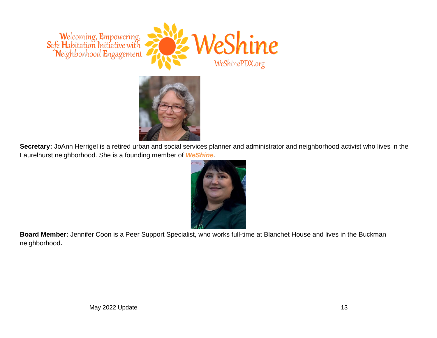



**Secretary:** JoAnn Herrigel is a retired urban and social services planner and administrator and neighborhood activist who lives in the Laurelhurst neighborhood. She is a founding member of *WeShine*.



**Board Member:** Jennifer Coon is a Peer Support Specialist, who works full-time at Blanchet House and lives in the Buckman neighborhood**.**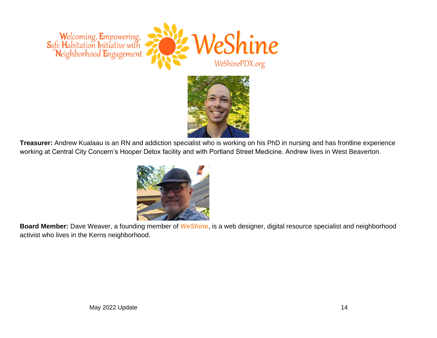



**Treasurer:** Andrew Kualaau is an RN and addiction specialist who is working on his PhD in nursing and has frontline experience working at Central City Concern's Hooper Detox facility and with Portland Street Medicine. Andrew lives in West Beaverton.



**Board Member:** Dave Weaver, a founding member of *WeShine*, is a web designer, digital resource specialist and neighborhood activist who lives in the Kerns neighborhood.